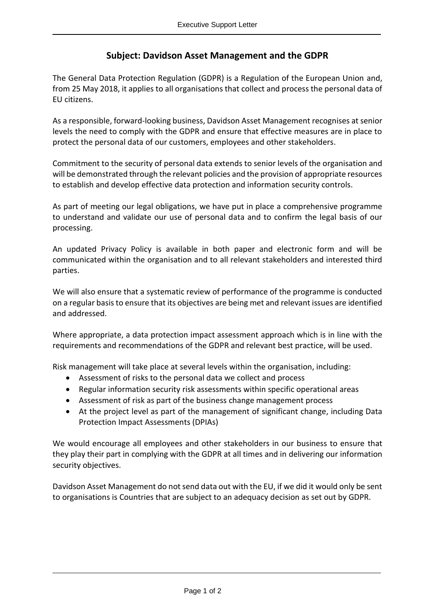## **Subject: Davidson Asset Management and the GDPR**

The General Data Protection Regulation (GDPR) is a Regulation of the European Union and, from 25 May 2018, it applies to all organisations that collect and process the personal data of EU citizens.

As a responsible, forward-looking business, Davidson Asset Management recognises at senior levels the need to comply with the GDPR and ensure that effective measures are in place to protect the personal data of our customers, employees and other stakeholders.

Commitment to the security of personal data extends to senior levels of the organisation and will be demonstrated through the relevant policies and the provision of appropriate resources to establish and develop effective data protection and information security controls.

As part of meeting our legal obligations, we have put in place a comprehensive programme to understand and validate our use of personal data and to confirm the legal basis of our processing.

An updated Privacy Policy is available in both paper and electronic form and will be communicated within the organisation and to all relevant stakeholders and interested third parties.

We will also ensure that a systematic review of performance of the programme is conducted on a regular basis to ensure that its objectives are being met and relevant issues are identified and addressed.

Where appropriate, a data protection impact assessment approach which is in line with the requirements and recommendations of the GDPR and relevant best practice, will be used.

Risk management will take place at several levels within the organisation, including:

- Assessment of risks to the personal data we collect and process
- Regular information security risk assessments within specific operational areas
- Assessment of risk as part of the business change management process
- At the project level as part of the management of significant change, including Data Protection Impact Assessments (DPIAs)

We would encourage all employees and other stakeholders in our business to ensure that they play their part in complying with the GDPR at all times and in delivering our information security objectives.

Davidson Asset Management do not send data out with the EU, if we did it would only be sent to organisations is Countries that are subject to an adequacy decision as set out by GDPR.